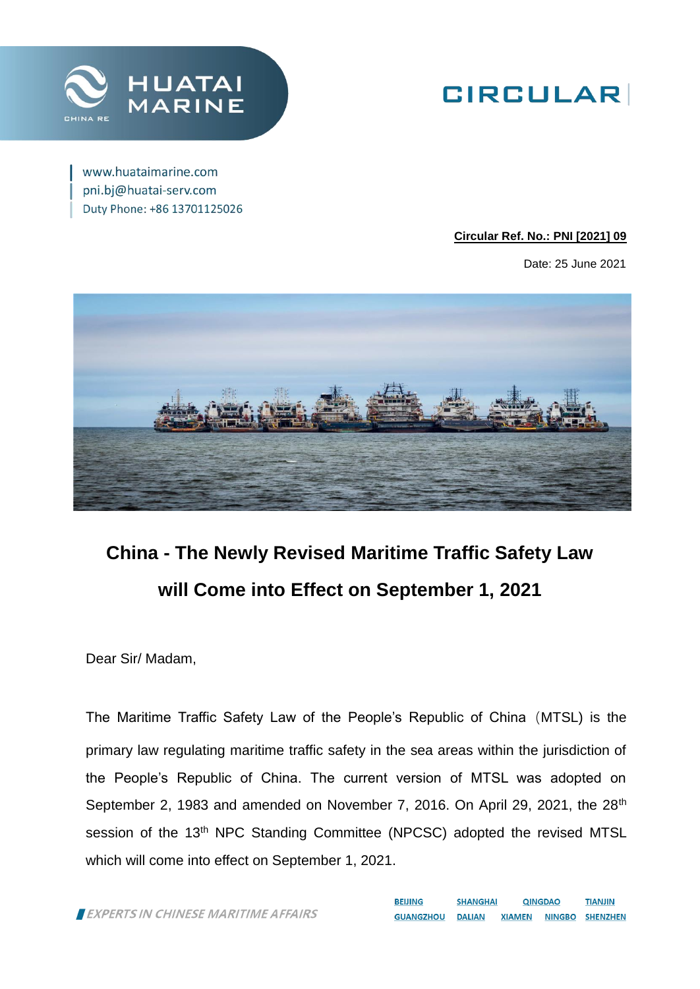

# **GIRCULAR**

www.huataimarine.com pni.bj@huatai-serv.com Duty Phone: +86 13701125026

### **Circular Ref. No.: PNI [2021] 09**

Date: 25 June 2021



# **China - The Newly Revised Maritime Traffic Safety Law will Come into Effect on September 1, 2021**

Dear Sir/ Madam,

The Maritime Traffic Safety Law of the People's Republic of China(MTSL) is the primary law regulating maritime traffic safety in the sea areas within the jurisdiction of the People's Republic of China. The current version of MTSL was adopted on September 2, 1983 and amended on November 7, 2016. On April 29, 2021, the 28<sup>th</sup> session of the 13<sup>th</sup> NPC Standing Committee (NPCSC) adopted the revised MTSL which will come into effect on September 1, 2021.

EXPERTS IN CHINESE MARITIME AFFAIRS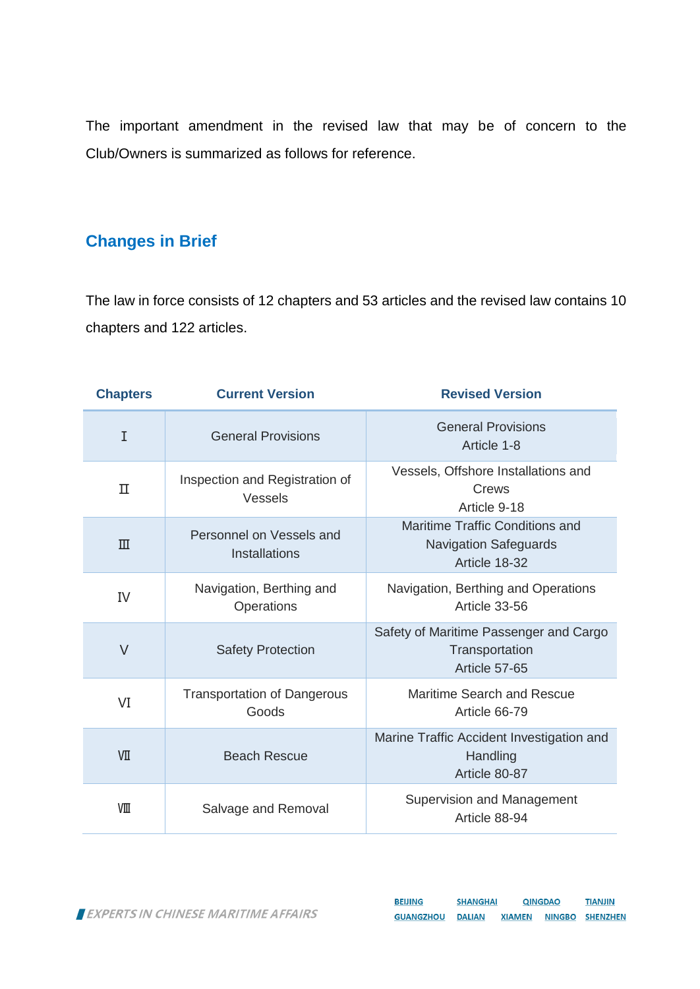The important amendment in the revised law that may be of concern to the Club/Owners is summarized as follows for reference.

# **Changes in Brief**

The law in force consists of 12 chapters and 53 articles and the revised law contains 10 chapters and 122 articles.

| <b>Chapters</b> | <b>Current Version</b>                      | <b>Revised Version</b>                                                           |
|-----------------|---------------------------------------------|----------------------------------------------------------------------------------|
| I               | <b>General Provisions</b>                   | <b>General Provisions</b><br>Article 1-8                                         |
| П               | Inspection and Registration of<br>Vessels   | Vessels, Offshore Installations and<br>Crews<br>Article 9-18                     |
| $\mathbb{H}$    | Personnel on Vessels and<br>Installations   | Maritime Traffic Conditions and<br><b>Navigation Safeguards</b><br>Article 18-32 |
| IV              | Navigation, Berthing and<br>Operations      | Navigation, Berthing and Operations<br>Article 33-56                             |
| $\vee$          | <b>Safety Protection</b>                    | Safety of Maritime Passenger and Cargo<br>Transportation<br>Article 57-65        |
| VI              | <b>Transportation of Dangerous</b><br>Goods | Maritime Search and Rescue<br>Article 66-79                                      |
| VП              | <b>Beach Rescue</b>                         | Marine Traffic Accident Investigation and<br>Handling<br>Article 80-87           |
| VШ              | Salvage and Removal                         | Supervision and Management<br>Article 88-94                                      |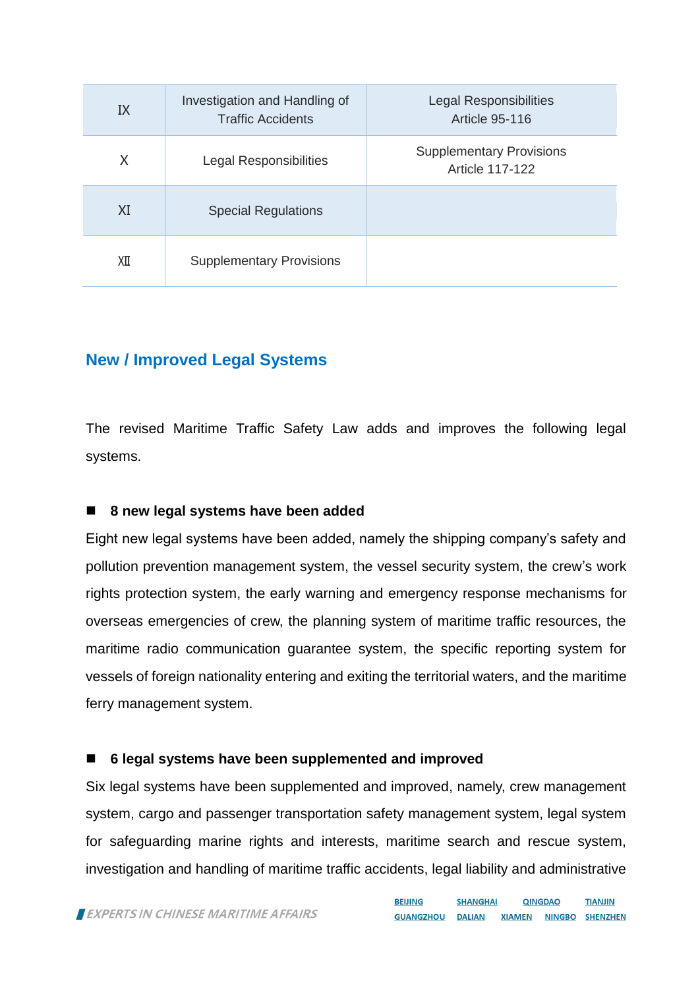| IX | Investigation and Handling of<br><b>Traffic Accidents</b> | <b>Legal Responsibilities</b><br><b>Article 95-116</b>    |
|----|-----------------------------------------------------------|-----------------------------------------------------------|
| X  | <b>Legal Responsibilities</b>                             | <b>Supplementary Provisions</b><br><b>Article 117-122</b> |
| XI | <b>Special Regulations</b>                                |                                                           |
| ΧП | <b>Supplementary Provisions</b>                           |                                                           |

### **New / Improved Legal Systems**

The revised Maritime Traffic Safety Law adds and improves the following legal systems.

### **8 new legal systems have been added**

Eight new legal systems have been added, namely the shipping company's safety and pollution prevention management system, the vessel security system, the crew's work rights protection system, the early warning and emergency response mechanisms for overseas emergencies of crew, the planning system of maritime traffic resources, the maritime radio communication guarantee system, the specific reporting system for vessels of foreign nationality entering and exiting the territorial waters, and the maritime ferry management system.

### **6 legal systems have been supplemented and improved**

Six legal systems have been supplemented and improved, namely, crew management system, cargo and passenger transportation safety management system, legal system for safeguarding marine rights and interests, maritime search and rescue system, investigation and handling of maritime traffic accidents, legal liability and administrative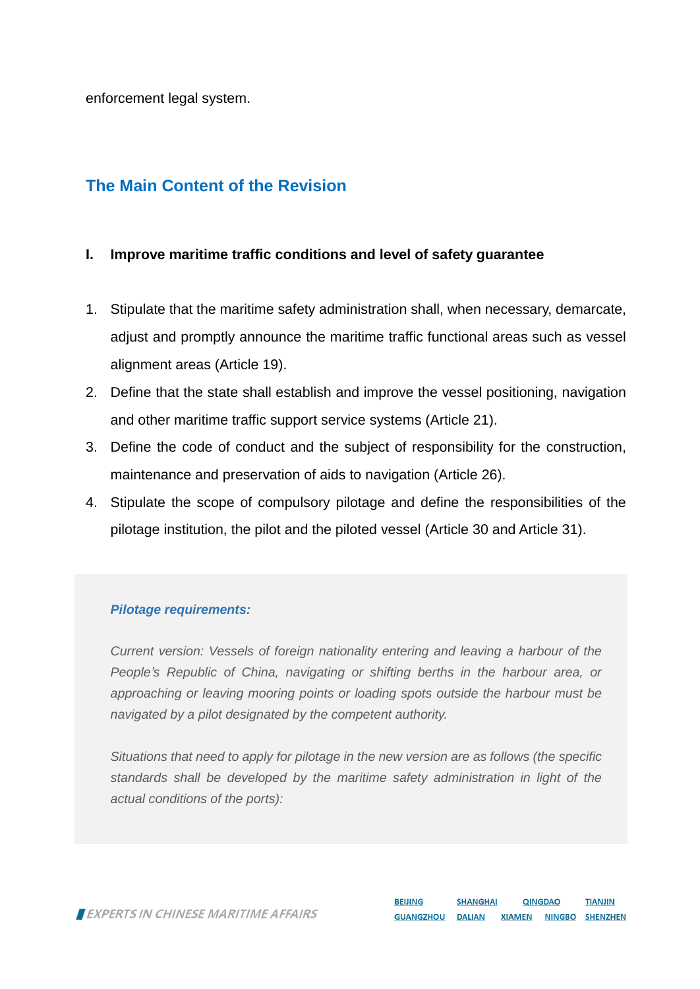enforcement legal system.

## **The Main Content of the Revision**

### **I. Improve maritime traffic conditions and level of safety guarantee**

- 1. Stipulate that the maritime safety administration shall, when necessary, demarcate, adjust and promptly announce the maritime traffic functional areas such as vessel alignment areas (Article 19).
- 2. Define that the state shall establish and improve the vessel positioning, navigation and other maritime traffic support service systems (Article 21).
- 3. Define the code of conduct and the subject of responsibility for the construction, maintenance and preservation of aids to navigation (Article 26).
- 4. Stipulate the scope of compulsory pilotage and define the responsibilities of the pilotage institution, the pilot and the piloted vessel (Article 30 and Article 31).

### *Pilotage requirements:*

*Current version: Vessels of foreign nationality entering and leaving a harbour of the People's Republic of China, navigating or shifting berths in the harbour area, or approaching or leaving mooring points or loading spots outside the harbour must be navigated by a pilot designated by the competent authority.*

*Situations that need to apply for pilotage in the new version are as follows (the specific standards shall be developed by the maritime safety administration in light of the actual conditions of the ports):*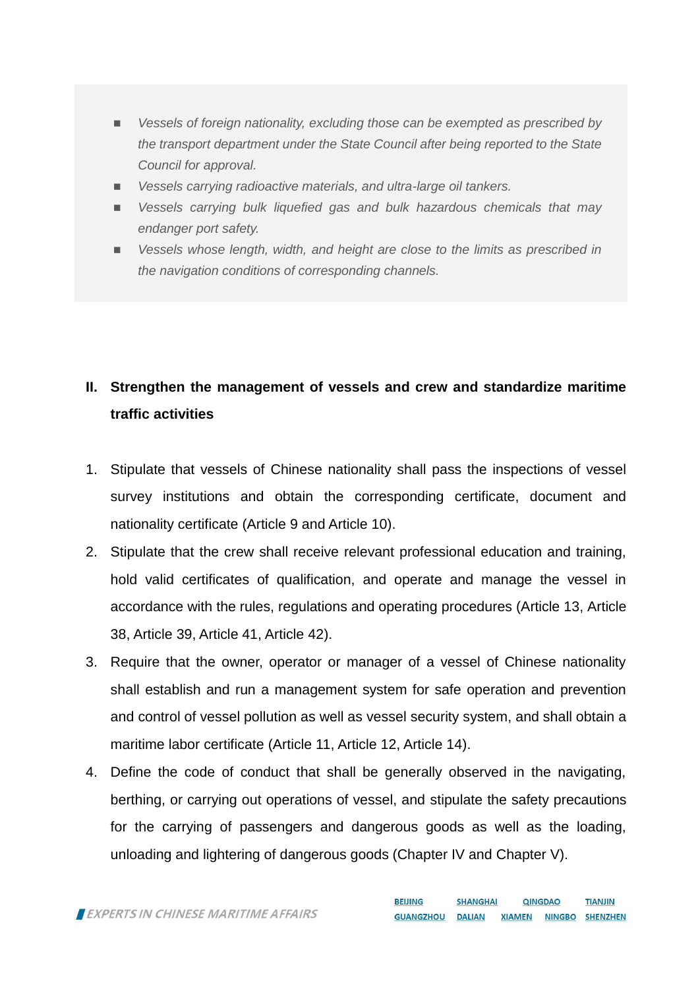- *Vessels of foreign nationality, excluding those can be exempted as prescribed by the transport department under the State Council after being reported to the State Council for approval.*
- *Vessels carrying radioactive materials, and ultra-large oil tankers.*
- *Vessels carrying bulk liquefied gas and bulk hazardous chemicals that may endanger port safety.*
- *Vessels whose length, width, and height are close to the limits as prescribed in the navigation conditions of corresponding channels.*

# **II. Strengthen the management of vessels and crew and standardize maritime traffic activities**

- 1. Stipulate that vessels of Chinese nationality shall pass the inspections of vessel survey institutions and obtain the corresponding certificate, document and nationality certificate (Article 9 and Article 10).
- 2. Stipulate that the crew shall receive relevant professional education and training, hold valid certificates of qualification, and operate and manage the vessel in accordance with the rules, regulations and operating procedures (Article 13, Article 38, Article 39, Article 41, Article 42).
- 3. Require that the owner, operator or manager of a vessel of Chinese nationality shall establish and run a management system for safe operation and prevention and control of vessel pollution as well as vessel security system, and shall obtain a maritime labor certificate (Article 11, Article 12, Article 14).
- 4. Define the code of conduct that shall be generally observed in the navigating, berthing, or carrying out operations of vessel, and stipulate the safety precautions for the carrying of passengers and dangerous goods as well as the loading, unloading and lightering of dangerous goods (Chapter IV and Chapter V).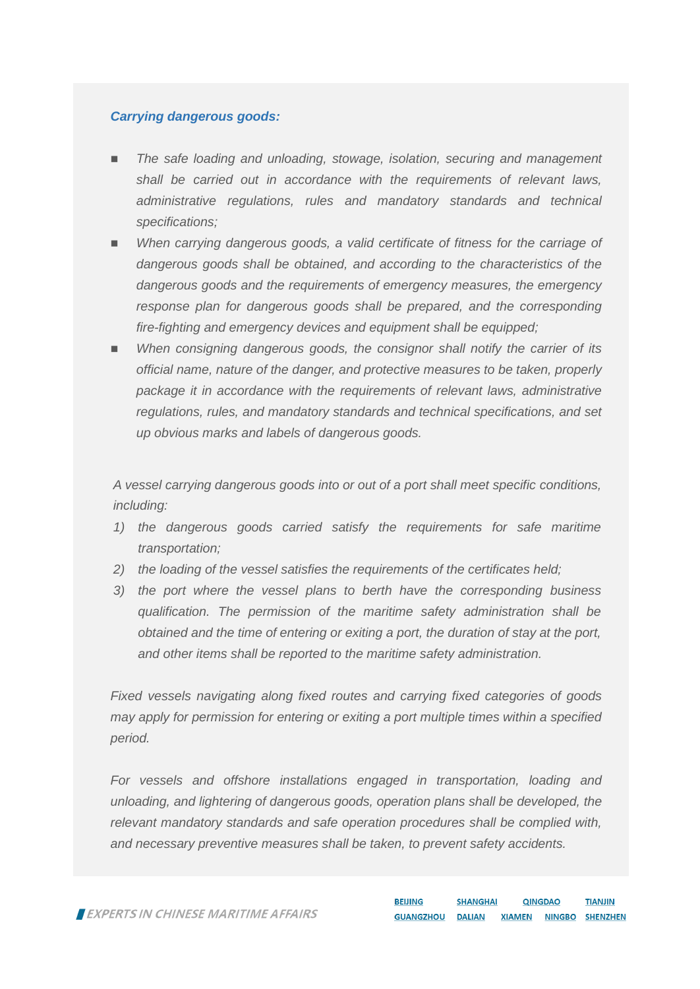### *Carrying dangerous goods:*

- *The safe loading and unloading, stowage, isolation, securing and management shall be carried out in accordance with the requirements of relevant laws, administrative regulations, rules and mandatory standards and technical specifications;*
- *When carrying dangerous goods, a valid certificate of fitness for the carriage of dangerous goods shall be obtained, and according to the characteristics of the dangerous goods and the requirements of emergency measures, the emergency response plan for dangerous goods shall be prepared, and the corresponding fire-fighting and emergency devices and equipment shall be equipped;*
- *When consigning dangerous goods, the consignor shall notify the carrier of its official name, nature of the danger, and protective measures to be taken, properly package it in accordance with the requirements of relevant laws, administrative regulations, rules, and mandatory standards and technical specifications, and set up obvious marks and labels of dangerous goods.*

*A vessel carrying dangerous goods into or out of a port shall meet specific conditions, including:*

- *1) the dangerous goods carried satisfy the requirements for safe maritime transportation;*
- *2) the loading of the vessel satisfies the requirements of the certificates held;*
- *3) the port where the vessel plans to berth have the corresponding business qualification. The permission of the maritime safety administration shall be obtained and the time of entering or exiting a port, the duration of stay at the port, and other items shall be reported to the maritime safety administration.*

*Fixed vessels navigating along fixed routes and carrying fixed categories of goods may apply for permission for entering or exiting a port multiple times within a specified period.*

*For vessels and offshore installations engaged in transportation, loading and unloading, and lightering of dangerous goods, operation plans shall be developed, the relevant mandatory standards and safe operation procedures shall be complied with, and necessary preventive measures shall be taken, to prevent safety accidents.*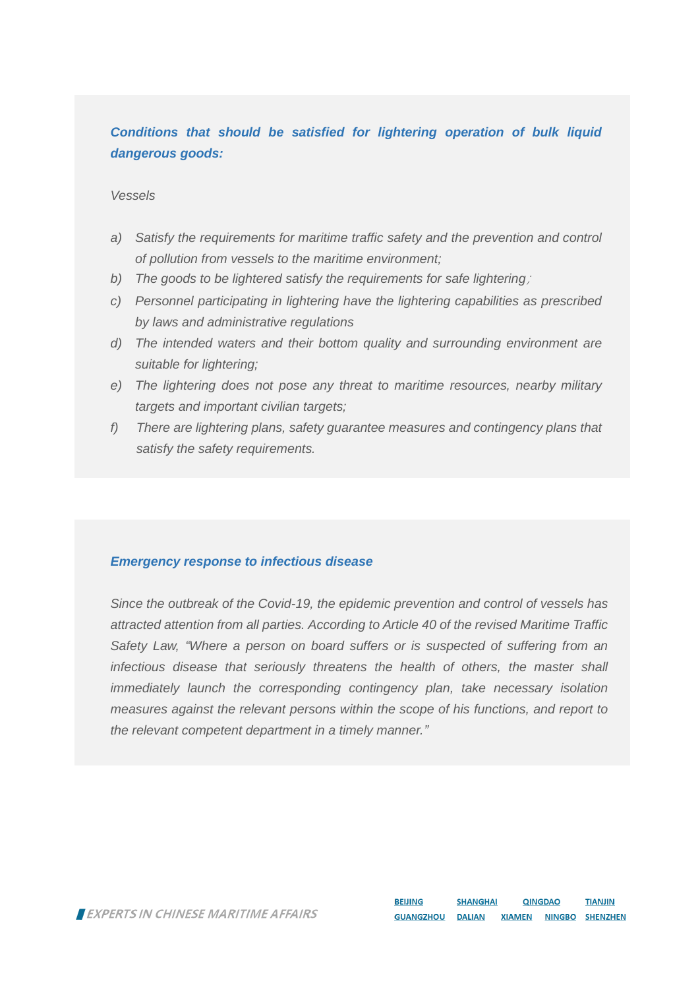### *Conditions that should be satisfied for lightering operation of bulk liquid dangerous goods:*

#### *Vessels*

- *a) Satisfy the requirements for maritime traffic safety and the prevention and control of pollution from vessels to the maritime environment;*
- *b) The goods to be lightered satisfy the requirements for safe lightering*;
- *c) Personnel participating in lightering have the lightering capabilities as prescribed by laws and administrative regulations*
- *d) The intended waters and their bottom quality and surrounding environment are suitable for lightering;*
- *e) The lightering does not pose any threat to maritime resources, nearby military targets and important civilian targets;*
- *f) There are lightering plans, safety guarantee measures and contingency plans that satisfy the safety requirements.*

#### *Emergency response to infectious disease*

*Since the outbreak of the Covid-19, the epidemic prevention and control of vessels has attracted attention from all parties. According to Article 40 of the revised Maritime Traffic Safety Law, "Where a person on board suffers or is suspected of suffering from an infectious disease that seriously threatens the health of others, the master shall immediately launch the corresponding contingency plan, take necessary isolation measures against the relevant persons within the scope of his functions, and report to the relevant competent department in a timely manner."*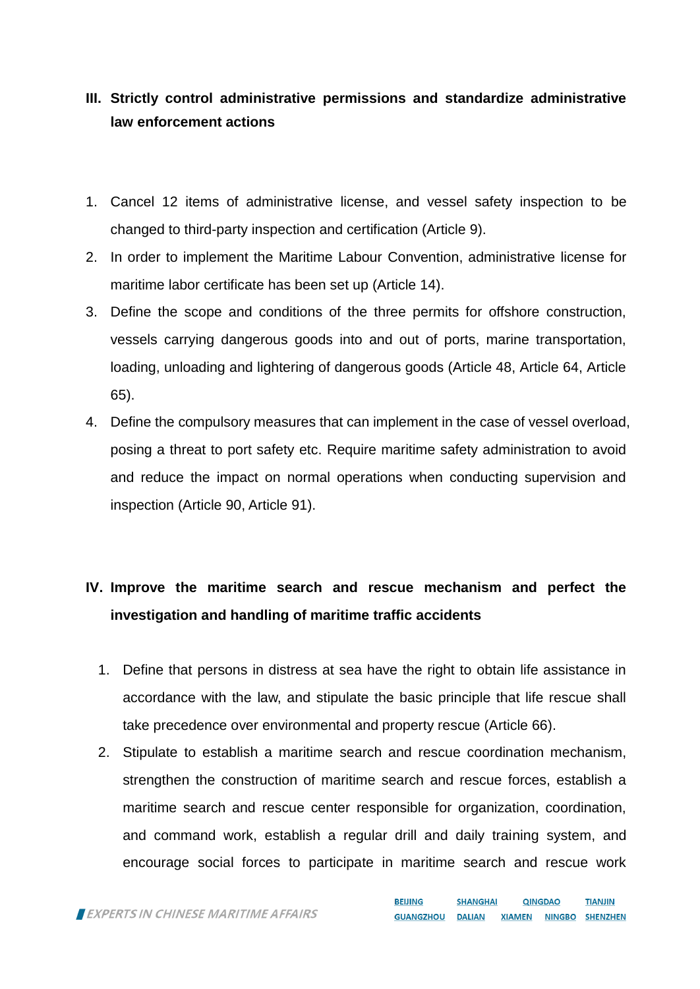## **III. Strictly control administrative permissions and standardize administrative law enforcement actions**

- 1. Cancel 12 items of administrative license, and vessel safety inspection to be changed to third-party inspection and certification (Article 9).
- 2. In order to implement the Maritime Labour Convention, administrative license for maritime labor certificate has been set up (Article 14).
- 3. Define the scope and conditions of the three permits for offshore construction, vessels carrying dangerous goods into and out of ports, marine transportation, loading, unloading and lightering of dangerous goods (Article 48, Article 64, Article 65).
- 4. Define the compulsory measures that can implement in the case of vessel overload, posing a threat to port safety etc. Require maritime safety administration to avoid and reduce the impact on normal operations when conducting supervision and inspection (Article 90, Article 91).

# **IV. Improve the maritime search and rescue mechanism and perfect the investigation and handling of maritime traffic accidents**

- 1. Define that persons in distress at sea have the right to obtain life assistance in accordance with the law, and stipulate the basic principle that life rescue shall take precedence over environmental and property rescue (Article 66).
- 2. Stipulate to establish a maritime search and rescue coordination mechanism, strengthen the construction of maritime search and rescue forces, establish a maritime search and rescue center responsible for organization, coordination, and command work, establish a regular drill and daily training system, and encourage social forces to participate in maritime search and rescue work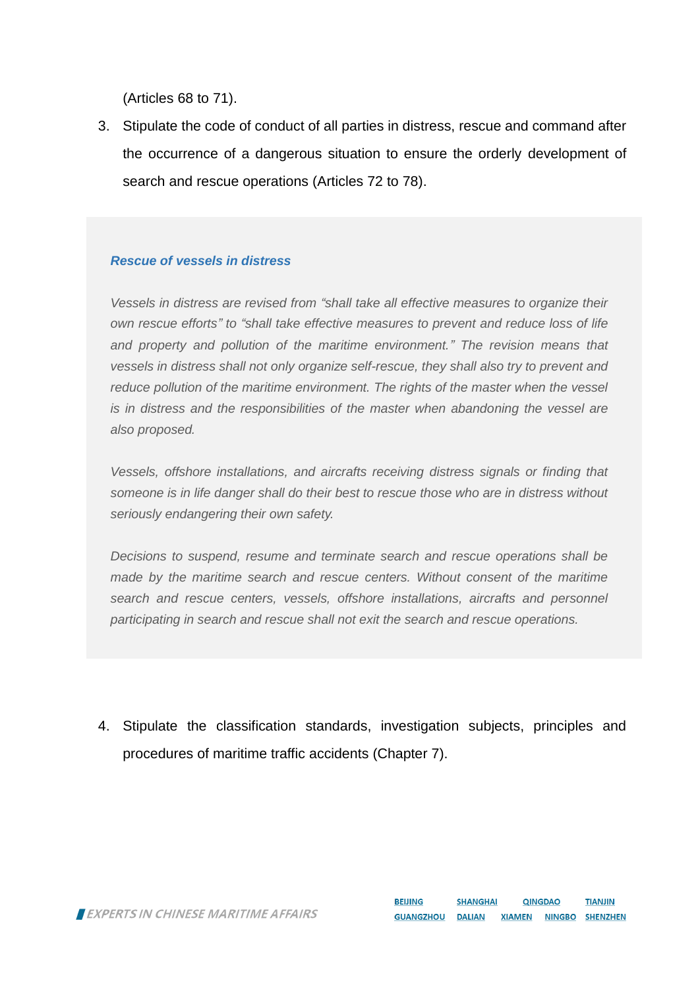(Articles 68 to 71).

3. Stipulate the code of conduct of all parties in distress, rescue and command after the occurrence of a dangerous situation to ensure the orderly development of search and rescue operations (Articles 72 to 78).

### *Rescue of vessels in distress*

*Vessels in distress are revised from "shall take all effective measures to organize their own rescue efforts" to "shall take effective measures to prevent and reduce loss of life and property and pollution of the maritime environment." The revision means that vessels in distress shall not only organize self-rescue, they shall also try to prevent and reduce pollution of the maritime environment. The rights of the master when the vessel is in distress and the responsibilities of the master when abandoning the vessel are also proposed.*

*Vessels, offshore installations, and aircrafts receiving distress signals or finding that someone is in life danger shall do their best to rescue those who are in distress without seriously endangering their own safety.*

*Decisions to suspend, resume and terminate search and rescue operations shall be made by the maritime search and rescue centers. Without consent of the maritime search and rescue centers, vessels, offshore installations, aircrafts and personnel participating in search and rescue shall not exit the search and rescue operations.*

4. Stipulate the classification standards, investigation subjects, principles and procedures of maritime traffic accidents (Chapter 7).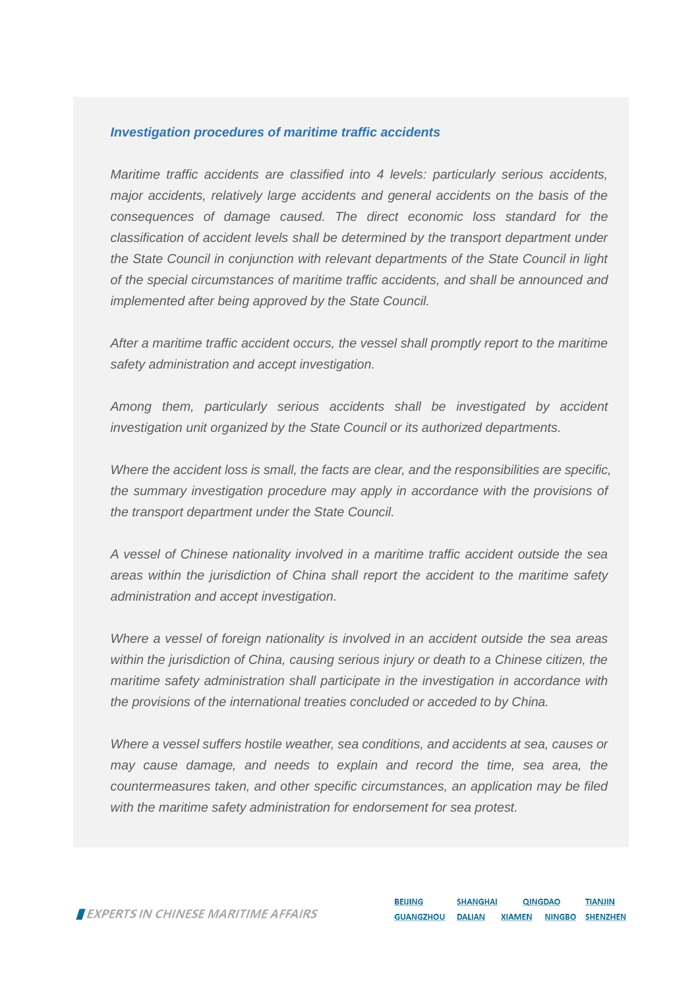#### *Investigation procedures of maritime traffic accidents*

*Maritime traffic accidents are classified into 4 levels: particularly serious accidents, major accidents, relatively large accidents and general accidents on the basis of the consequences of damage caused. The direct economic loss standard for the classification of accident levels shall be determined by the transport department under the State Council in conjunction with relevant departments of the State Council in light of the special circumstances of maritime traffic accidents, and shall be announced and implemented after being approved by the State Council.*

*After a maritime traffic accident occurs, the vessel shall promptly report to the maritime safety administration and accept investigation.*

*Among them, particularly serious accidents shall be investigated by accident investigation unit organized by the State Council or its authorized departments.*

*Where the accident loss is small, the facts are clear, and the responsibilities are specific, the summary investigation procedure may apply in accordance with the provisions of the transport department under the State Council.*

*A vessel of Chinese nationality involved in a maritime traffic accident outside the sea areas within the jurisdiction of China shall report the accident to the maritime safety administration and accept investigation.*

*Where a vessel of foreign nationality is involved in an accident outside the sea areas within the jurisdiction of China, causing serious injury or death to a Chinese citizen, the maritime safety administration shall participate in the investigation in accordance with the provisions of the international treaties concluded or acceded to by China.*

*Where a vessel suffers hostile weather, sea conditions, and accidents at sea, causes or may cause damage, and needs to explain and record the time, sea area, the countermeasures taken, and other specific circumstances, an application may be filed with the maritime safety administration for endorsement for sea protest.*